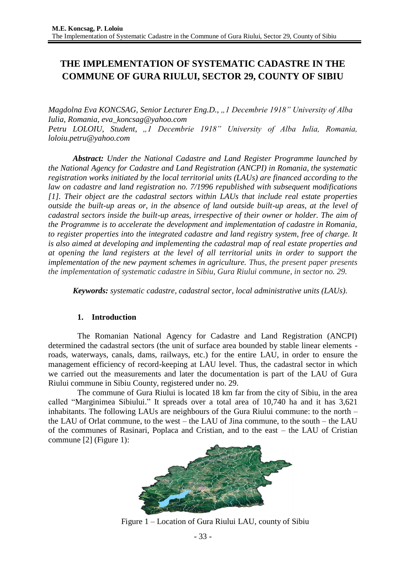# **THE IMPLEMENTATION OF SYSTEMATIC CADASTRE IN THE COMMUNE OF GURA RIULUI, SECTOR 29, COUNTY OF SIBIU**

*Magdolna Eva KONCSAG, Senior Lecturer Eng.D., "1 Decembrie 1918" University of Alba Iulia, Romania, eva\_koncsag@yahoo.com Petru LOLOIU, Student, "1 Decembrie 1918" University of Alba Iulia, Romania, loloiu.petru@yahoo.com*

*Abstract: Under the National Cadastre and Land Register Programme launched by the National Agency for Cadastre and Land Registration (ANCPI) in Romania, the systematic registration works initiated by the local territorial units (LAUs) are financed according to the law on cadastre and land registration no. 7/1996 republished with subsequent modifications [1]. Their object are the cadastral sectors within LAUs that include real estate properties outside the built-up areas or, in the absence of land outside built-up areas, at the level of cadastral sectors inside the built-up areas, irrespective of their owner or holder. The aim of the Programme is to accelerate the development and implementation of cadastre in Romania, to register properties into the integrated cadastre and land registry system, free of charge. It is also aimed at developing and implementing the cadastral map of real estate properties and at opening the land registers at the level of all territorial units in order to support the implementation of the new payment schemes in agriculture. Thus, the present paper presents the implementation of systematic cadastre in Sibiu, Gura Riului commune, in sector no. 29.*

*Keywords: systematic cadastre, cadastral sector, local administrative units (LAUs).* 

#### **1. Introduction**

The Romanian National Agency for Cadastre and Land Registration (ANCPI) determined the cadastral sectors (the unit of surface area bounded by stable linear elements roads, waterways, canals, dams, railways, etc.) for the entire LAU, in order to ensure the management efficiency of record-keeping at LAU level. Thus, the cadastral sector in which we carried out the measurements and later the documentation is part of the LAU of Gura Riului commune in Sibiu County, registered under no. 29.

The commune of Gura Riului is located 18 km far from the city of Sibiu, in the area called "Marginimea Sibiului." It spreads over a total area of 10,740 ha and it has 3,621 inhabitants. The following LAUs are neighbours of the Gura Riului commune: to the north – the LAU of Orlat commune, to the west – the LAU of Jina commune, to the south – the LAU of the communes of Rasinari, Poplaca and Cristian, and to the east – the LAU of Cristian commune [2] (Figure 1):



Figure 1 – Location of Gura Riului LAU, county of Sibiu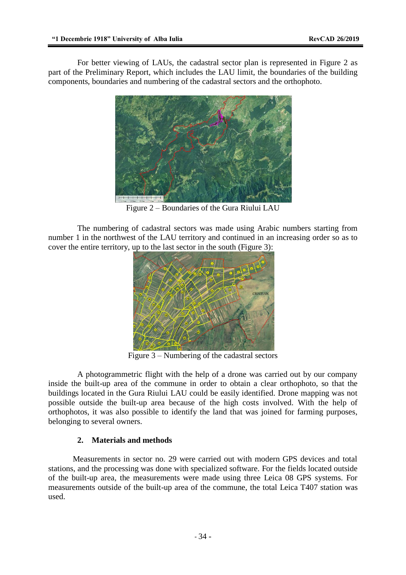For better viewing of LAUs, the cadastral sector plan is represented in Figure 2 as part of the Preliminary Report, which includes the LAU limit, the boundaries of the building components, boundaries and numbering of the cadastral sectors and the orthophoto.



Figure 2 – Boundaries of the Gura Riului LAU

The numbering of cadastral sectors was made using Arabic numbers starting from number 1 in the northwest of the LAU territory and continued in an increasing order so as to cover the entire territory, up to the last sector in the south (Figure 3):



Figure 3 – Numbering of the cadastral sectors

A photogrammetric flight with the help of a drone was carried out by our company inside the built-up area of the commune in order to obtain a clear orthophoto, so that the buildings located in the Gura Riului LAU could be easily identified. Drone mapping was not possible outside the built-up area because of the high costs involved. With the help of orthophotos, it was also possible to identify the land that was joined for farming purposes, belonging to several owners.

## **2. Materials and methods**

Measurements in sector no. 29 were carried out with modern GPS devices and total stations, and the processing was done with specialized software. For the fields located outside of the built-up area, the measurements were made using three Leica 08 GPS systems. For measurements outside of the built-up area of the commune, the total Leica T407 station was used.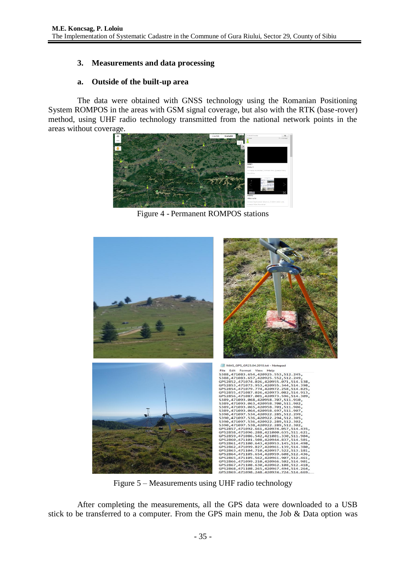# **3. Measurements and data processing**

## **a. Outside of the built-up area**

The data were obtained with GNSS technology using the Romanian Positioning System ROMPOS in the areas with GSM signal coverage, but also with the RTK (base-rover) method, using UHF radio technology transmitted from the national network points in the areas without coverage.



Figure 4 - Permanent ROMPOS stations



Figure 5 – Measurements using UHF radio technology

After completing the measurements, all the GPS data were downloaded to a USB stick to be transferred to a computer. From the GPS main menu, the Job & Data option was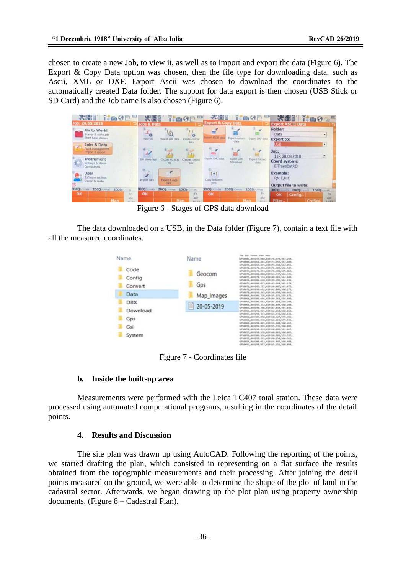chosen to create a new Job, to view it, as well as to import and export the data (Figure 6). The Export & Copy Data option was chosen, then the file type for downloading data, such as Ascii, XML or DXF. Export Ascii was chosen to download the coordinates to the automatically created Data folder. The support for data export is then chosen (USB Stick or SD Card) and the Job name is also chosen (Figure 6).

| <b>WEBER THORSE</b><br>Job: 20.05.2019                                                                                    | <b>WEST TOOP</b>                                                                                  | <b>VEDE TOOP</b><br><b>Export &amp; Copy Data</b>                              | <b>WED TOOT</b>                                                                                              |
|---------------------------------------------------------------------------------------------------------------------------|---------------------------------------------------------------------------------------------------|--------------------------------------------------------------------------------|--------------------------------------------------------------------------------------------------------------|
| Go to Work!<br>Survey & stake pts<br>Start base station<br>Jobs & Data<br>$\alpha$<br>Point management<br>Import & export | <b>Jobs &amp; Data</b><br>G<br>ъ<br>o<br>New Job<br>View & edit data<br>Create control<br>dist.a. | a.<br><b>Sport ASCII data</b><br>Export custom<br>Export DXF data<br>data      | <b>Export ASCII Data</b><br>Folder:<br>Data<br>$\bullet$<br><b>Export to:</b><br>USB<br>$\mathbf{v}$<br>:dot |
| Instrument<br>Settings & status<br><b>Connections</b><br><b>User</b><br>Software settings                                 | Job properties<br>Choose working Choose control                                                   | Export XML data<br>Export with<br>Export ftsk/rw5<br>Stylesheet<br>data<br>141 | 11R 28.08.2018<br>団<br>Coord system:<br>E-TransDatRO<br><b>Example:</b>                                      |
| Screen & audio                                                                                                            | Import data<br>Export & copy<br>dirta:                                                            | Copy between<br>jobs                                                           | P.N.E.H.C<br>Output file to write:                                                                           |
| 3DCQ:-.---m 2DCQ:-----m 1DCQ:-.---m<br>OK<br>Fn:<br><b>Bbc</b><br><b>Map</b>                                              | 3DCQ: --- m<br>2DCQ: ---- m 1DCQ: --- m<br>OK<br>Fn<br>abc<br>Man                                 | 2DCQ: -- m 1DCQ: --- m<br>$3DCQ: -1$<br>Fn<br>OK<br>abc<br>Man                 | 3DCQ:---------- 2DCQ:-------- 1DCQ:--------<br>Fn<br>OK<br>Config<br>abc<br>Filter.                          |

Figure 6 - Stages of GPS data download

The data downloaded on a USB, in the Data folder (Figure 7), contain a text file with all the measured coordinates.



Figure 7 - Coordinates file

#### **b. Inside the built-up area**

Measurements were performed with the Leica TC407 total station. These data were processed using automated computational programs, resulting in the coordinates of the detail points.

#### **4. Results and Discussion**

The site plan was drawn up using AutoCAD. Following the reporting of the points, we started drafting the plan, which consisted in representing on a flat surface the results obtained from the topographic measurements and their processing. After joining the detail points measured on the ground, we were able to determine the shape of the plot of land in the cadastral sector. Afterwards, we began drawing up the plot plan using property ownership documents. (Figure 8 – Cadastral Plan).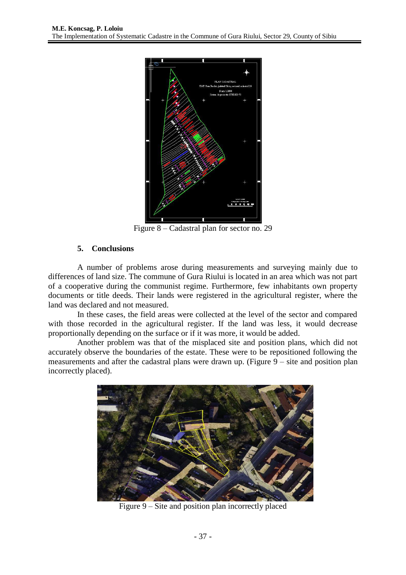

Figure 8 – Cadastral plan for sector no. 29

## **5. Conclusions**

A number of problems arose during measurements and surveying mainly due to differences of land size. The commune of Gura Riului is located in an area which was not part of a cooperative during the communist regime. Furthermore, few inhabitants own property documents or title deeds. Their lands were registered in the agricultural register, where the land was declared and not measured.

In these cases, the field areas were collected at the level of the sector and compared with those recorded in the agricultural register. If the land was less, it would decrease proportionally depending on the surface or if it was more, it would be added.

Another problem was that of the misplaced site and position plans, which did not accurately observe the boundaries of the estate. These were to be repositioned following the measurements and after the cadastral plans were drawn up. (Figure 9 – site and position plan incorrectly placed).



Figure 9 – Site and position plan incorrectly placed